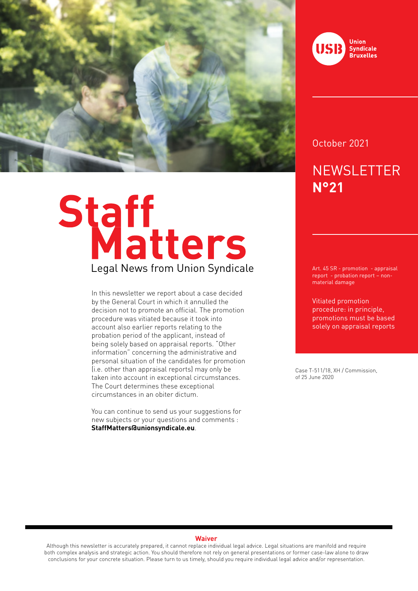

# Staff<br>Legal News from Union Syndicale

In this newsletter we report about a case decided by the General Court in which it annulled the decision not to promote an official. The promotion procedure was vitiated because it took into account also earlier reports relating to the probation period of the applicant, instead of being solely based on appraisal reports. "Other information" concerning the administrative and personal situation of the candidates for promotion (i.e. other than appraisal reports) may only be taken into account in exceptional circumstances. The Court determines these exceptional circumstances in an obiter dictum.

You can continue to send us your suggestions for new subjects or your questions and comments : **StaffMatters@unionsyndicale.eu**.



### October 2021

# **NEWSLETTER N°21**

Art. 45 SR - promotion - appraisal report - probation report – nonmaterial damage

Vitiated promotion procedure: in principle, promotions must be based solely on appraisal reports

Case T-511/18, XH / Commission, of 25 June 2020

### **Waiver**

Although this newsletter is accurately prepared, it cannot replace individual legal advice. Legal situations are manifold and require both complex analysis and strategic action. You should therefore not rely on general presentations or former case-law alone to draw conclusions for your concrete situation. Please turn to us timely, should you require individual legal advice and/or representation.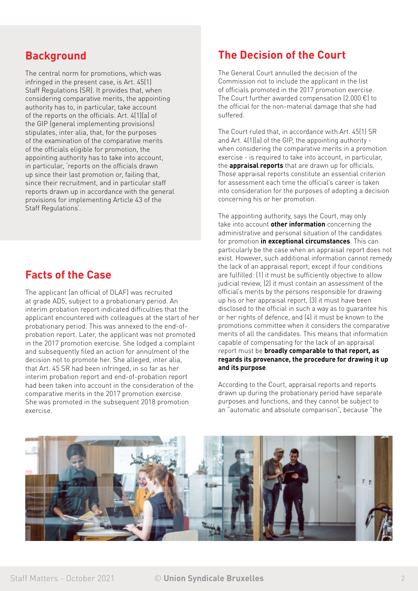### **Background**

The central norm for promotions, which was infringed in the present case, is Art. 45(1) Staff Regulations (SR). It provides that, when considering comparative merits, the appointing authority has to, in particular, take account of the reports on the officials. Art. 4(1)(a) of the GIP (general implementing provisions) stipulates, inter alia, that, for the purposes of the examination of the comparative merits of the officials eligible for promotion, the appointing authority has to take into account, in particular, 'reports on the officials drawn up since their last promotion or, failing that, since their recruitment, and in particular staff reports drawn up in accordance with the general provisions for implementing Article 43 of the Staff Regulations'.

### **Facts of the Case**

The applicant (an official of OLAF) was recruited at grade AD5, subject to a probationary period. An interim probation report indicated difficulties that the applicant encountered with colleagues at the start of her probationary period. This was annexed to the end-ofprobation report. Later, the applicant was not promoted in the 2017 promotion exercise. She lodged a complaint and subsequently filed an action for annulment of the decision not to promote her. She alleged, inter alia, that Art. 45 SR had been infringed, in so far as her interim probation report and end-of-probation report had been taken into account in the consideration of the comparative merits in the 2017 promotion exercise. She was promoted in the subsequent 2018 promotion exercise.

## **The Decision of the Court**

The General Court annulled the decision of the Commission not to include the applicant in the list of officials promoted in the 2017 promotion exercise. The Court further awarded compensation (2.000 €) to the official for the non-material damage that she had suffered.

The Court ruled that, in accordance with Art. 45(1) SR and Art. 4(1)(a) of the GIP, the appointing authority when considering the comparative merits in a promotion exercise - is required to take into account, in particular, the **appraisal reports** that are drawn up for officials. Those appraisal reports constitute an essential criterion for assessment each time the official's career is taken into consideration for the purposes of adopting a decision concerning his or her promotion.

The appointing authority, says the Court, may only take into account **other information** concerning the administrative and personal situation of the candidates for promotion **in exceptional circumstances**. This can particularly be the case when an appraisal report does not exist. However, such additional information cannot remedy the lack of an appraisal report, except if four conditions are fulfilled: (1) it must be sufficiently objective to allow judicial review, (2) it must contain an assessment of the official's merits by the persons responsible for drawing up his or her appraisal report, (3) it must have been disclosed to the official in such a way as to guarantee his or her rights of defence, and (4) it must be known to the promotions committee when it considers the comparative merits of all the candidates. This means that information capable of compensating for the lack of an appraisal report must be **broadly comparable to that report, as regards its provenance, the procedure for drawing it up and its purpose**.

According to the Court, appraisal reports and reports drawn up during the probationary period have separate purposes and functions, and they cannot be subject to an "automatic and absolute comparison", because "the

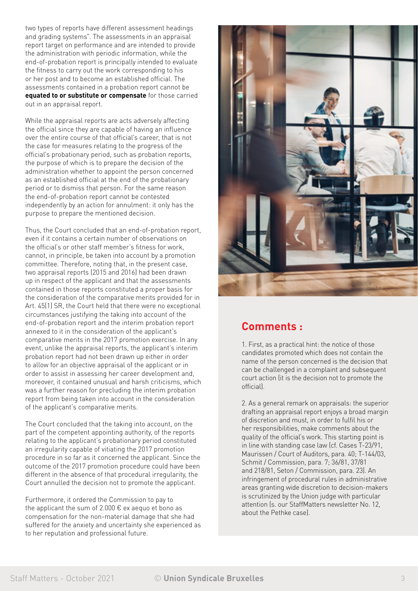two types of reports have different assessment headings and grading systems". The assessments in an appraisal report target on performance and are intended to provide the administration with periodic information, while the end-of-probation report is principally intended to evaluate the fitness to carry out the work corresponding to his or her post and to become an established official. The assessments contained in a probation report cannot be **equated to or substitute or compensate** for those carried out in an appraisal report.

While the appraisal reports are acts adversely affecting the official since they are capable of having an influence over the entire course of that official's career, that is not the case for measures relating to the progress of the official's probationary period, such as probation reports, the purpose of which is to prepare the decision of the administration whether to appoint the person concerned as an established official at the end of the probationary period or to dismiss that person. For the same reason the end-of-probation report cannot be contested independently by an action for annulment: it only has the purpose to prepare the mentioned decision.

Thus, the Court concluded that an end-of-probation report, even if it contains a certain number of observations on the official's or other staff member's fitness for work, cannot, in principle, be taken into account by a promotion committee. Therefore, noting that, in the present case, two appraisal reports (2015 and 2016) had been drawn up in respect of the applicant and that the assessments contained in those reports constituted a proper basis for the consideration of the comparative merits provided for in Art. 45(1) SR, the Court held that there were no exceptional circumstances justifying the taking into account of the end-of-probation report and the interim probation report annexed to it in the consideration of the applicant's comparative merits in the 2017 promotion exercise. In any event, unlike the appraisal reports, the applicant's interim probation report had not been drawn up either in order to allow for an objective appraisal of the applicant or in order to assist in assessing her career development and, moreover, it contained unusual and harsh criticisms, which was a further reason for precluding the interim probation report from being taken into account in the consideration of the applicant's comparative merits.

The Court concluded that the taking into account, on the part of the competent appointing authority, of the reports relating to the applicant's probationary period constituted an irregularity capable of vitiating the 2017 promotion procedure in so far as it concerned the applicant. Since the outcome of the 2017 promotion procedure could have been different in the absence of that procedural irregularity, the Court annulled the decision not to promote the applicant.

Furthermore, it ordered the Commission to pay to the applicant the sum of 2.000  $\epsilon$  ex aequo et bono as compensation for the non-material damage that she had suffered for the anxiety and uncertainty she experienced as to her reputation and professional future.



### **Comments :**

1. First, as a practical hint: the notice of those candidates promoted which does not contain the name of the person concerned is the decision that can be challenged in a complaint and subsequent court action (it is the decision not to promote the official).

2. As a general remark on appraisals: the superior drafting an appraisal report enjoys a broad margin of discretion and must, in order to fulfil his or her responsibilities, make comments about the quality of the official's work. This starting point is in line with standing case law (cf. Cases T-23/91, Maurissen / Court of Auditors, para. 40; T-144/03, Schmit / Commission, para. 7; 36/81, 37/81 and 218/81, Seton / Commission, para. 23). An infringement of procedural rules in administrative areas granting wide discretion to decision-makers is scrutinized by the Union judge with particular attention (s. our StaffMatters newsletter No. 12, about the Pethke case).